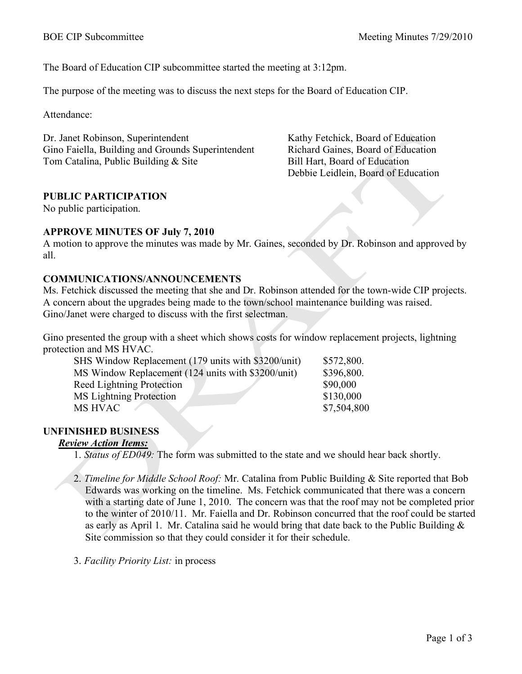The Board of Education CIP subcommittee started the meeting at 3:12pm.

The purpose of the meeting was to discuss the next steps for the Board of Education CIP.

Attendance:

Dr. Janet Robinson, Superintendent Gino Faiella, Building and Grounds Superintendent Tom Catalina, Public Building & Site

Kathy Fetchick, Board of Education Richard Gaines, Board of Education Bill Hart, Board of Education Debbie Leidlein, Board of Education

# **PUBLIC PARTICIPATION**

No public participation.

#### **APPROVE MINUTES OF July 7, 2010**

A motion to approve the minutes was made by Mr. Gaines, seconded by Dr. Robinson and approved by all.

### **COMMUNICATIONS/ANNOUNCEMENTS**

Ms. Fetchick discussed the meeting that she and Dr. Robinson attended for the town-wide CIP projects. A concern about the upgrades being made to the town/school maintenance building was raised. Gino/Janet were charged to discuss with the first selectman.

Gino presented the group with a sheet which shows costs for window replacement projects, lightning protection and MS HVAC.

| SHS Window Replacement (179 units with \$3200/unit) | \$572,800.  |
|-----------------------------------------------------|-------------|
| MS Window Replacement (124 units with \$3200/unit)  | \$396,800.  |
| <b>Reed Lightning Protection</b>                    | \$90,000    |
| <b>MS</b> Lightning Protection                      | \$130,000   |
| MS HVAC                                             | \$7,504,800 |

## **UNFINISHED BUSINESS**

## *Review Action Items:*

1. *Status of ED049:* The form was submitted to the state and we should hear back shortly.

- 2. *Timeline for Middle School Roof:* Mr. Catalina from Public Building & Site reported that Bob Edwards was working on the timeline. Ms. Fetchick communicated that there was a concern with a starting date of June 1, 2010. The concern was that the roof may not be completed prior to the winter of 2010/11. Mr. Faiella and Dr. Robinson concurred that the roof could be started as early as April 1. Mr. Catalina said he would bring that date back to the Public Building  $\&$ Site commission so that they could consider it for their schedule.
- 3. *Facility Priority List:* in process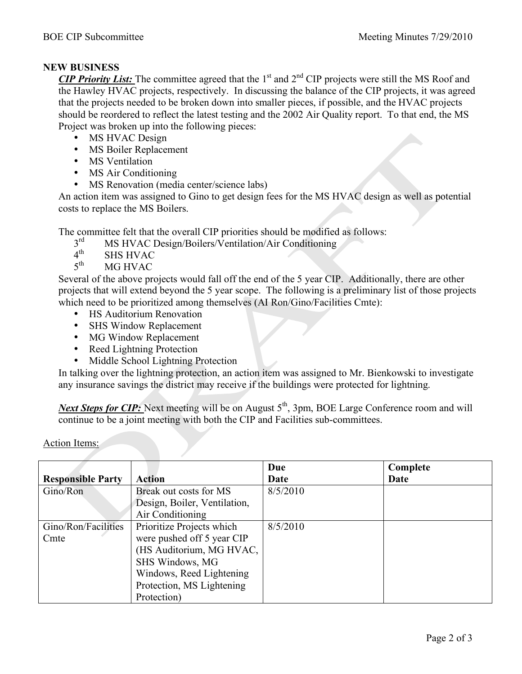#### **NEW BUSINESS**

*CIP Priority List:* The committee agreed that the 1<sup>st</sup> and 2<sup>nd</sup> CIP projects were still the MS Roof and the Hawley HVAC projects, respectively. In discussing the balance of the CIP projects, it was agreed that the projects needed to be broken down into smaller pieces, if possible, and the HVAC projects should be reordered to reflect the latest testing and the 2002 Air Quality report. To that end, the MS Project was broken up into the following pieces:

- MS HVAC Design
- MS Boiler Replacement
- MS Ventilation
- MS Air Conditioning
- MS Renovation (media center/science labs)

An action item was assigned to Gino to get design fees for the MS HVAC design as well as potential costs to replace the MS Boilers.

The committee felt that the overall CIP priorities should be modified as follows:<br> $3<sup>rd</sup>$  MS HVAC Design/Boilers/Ventilation/Air Conditioning

- $3<sup>rd</sup>$  MS HVAC Design/Boilers/Ventilation/Air Conditioning  $4<sup>th</sup>$  SHS HVAC
- 
- $4<sup>th</sup>$  SHS HVAC<br> $5<sup>th</sup>$  MG HVAC MG HVAC

Several of the above projects would fall off the end of the 5 year CIP. Additionally, there are other projects that will extend beyond the 5 year scope. The following is a preliminary list of those projects which need to be prioritized among themselves (AI Ron/Gino/Facilities Cmte):

- HS Auditorium Renovation
- SHS Window Replacement
- MG Window Replacement
- Reed Lightning Protection
- Middle School Lightning Protection

In talking over the lightning protection, an action item was assigned to Mr. Bienkowski to investigate any insurance savings the district may receive if the buildings were protected for lightning.

*Next Steps for CIP:* Next meeting will be on August 5<sup>th</sup>, 3pm, BOE Large Conference room and will continue to be a joint meeting with both the CIP and Facilities sub-committees.

|                          |                              | Due      | Complete |
|--------------------------|------------------------------|----------|----------|
| <b>Responsible Party</b> | <b>Action</b>                | Date     | Date     |
| Gino/Ron                 | Break out costs for MS       | 8/5/2010 |          |
|                          | Design, Boiler, Ventilation, |          |          |
|                          | Air Conditioning             |          |          |
| Gino/Ron/Facilities      | Prioritize Projects which    | 8/5/2010 |          |
| Cmte                     | were pushed off 5 year CIP   |          |          |
|                          | (HS Auditorium, MG HVAC,     |          |          |
|                          | SHS Windows, MG              |          |          |
|                          | Windows, Reed Lightening     |          |          |
|                          | Protection, MS Lightening    |          |          |
|                          | Protection)                  |          |          |